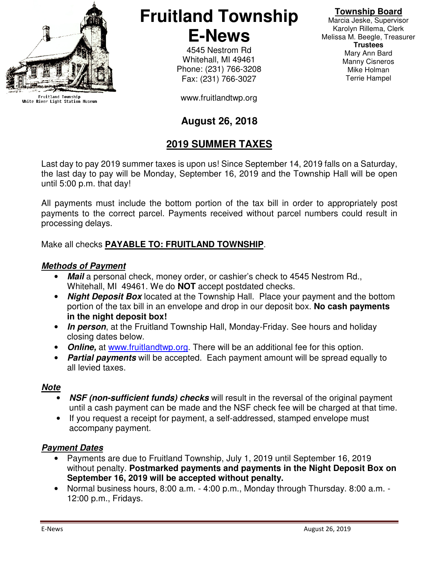

Fruitland Township<br>White River Light Station Museum

# **Fruitland Township E-News**

4545 Nestrom Rd Whitehall, MI 49461 Phone: (231) 766-3208 Fax: (231) 766-3027

www.fruitlandtwp.org

### **August 26, 2018**

### **2019 SUMMER TAXES**

Last day to pay 2019 summer taxes is upon us! Since September 14, 2019 falls on a Saturday, the last day to pay will be Monday, September 16, 2019 and the Township Hall will be open until 5:00 p.m. that day!

All payments must include the bottom portion of the tax bill in order to appropriately post payments to the correct parcel. Payments received without parcel numbers could result in processing delays.

### Make all checks **PAYABLE TO: FRUITLAND TOWNSHIP**.

#### **Methods of Payment**

- **Mail** a personal check, money order, or cashier's check to 4545 Nestrom Rd., Whitehall, MI 49461. We do **NOT** accept postdated checks.
- **Night Deposit Box** located at the Township Hall. Place your payment and the bottom portion of the tax bill in an envelope and drop in our deposit box. **No cash payments in the night deposit box!**
- **In person**, at the Fruitland Township Hall, Monday-Friday. See hours and holiday closing dates below.
- **Online,** at www.fruitlandtwp.org. There will be an additional fee for this option.
- **Partial payments** will be accepted. Each payment amount will be spread equally to all levied taxes.

#### **Note**

- **NSF (non-sufficient funds) checks** will result in the reversal of the original payment until a cash payment can be made and the NSF check fee will be charged at that time.
- If you request a receipt for payment, a self-addressed, stamped envelope must accompany payment.

#### **Payment Dates**

- Payments are due to Fruitland Township, July 1, 2019 until September 16, 2019 without penalty. **Postmarked payments and payments in the Night Deposit Box on September 16, 2019 will be accepted without penalty.**
- Normal business hours, 8:00 a.m. 4:00 p.m., Monday through Thursday. 8:00 a.m. 12:00 p.m., Fridays.

Marcia Jeske, Supervisor Karolyn Rillema, Clerk Melissa M. Beegle, Treasurer **Trustees**  Mary Ann Bard Manny Cisneros Mike Holman Terrie Hampel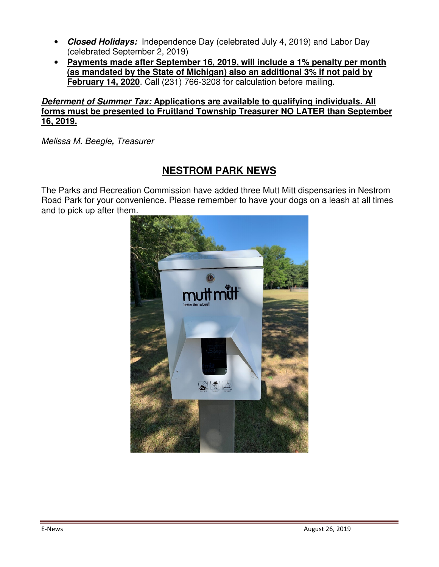- **Closed Holidays:** Independence Day (celebrated July 4, 2019) and Labor Day (celebrated September 2, 2019)
- **Payments made after September 16, 2019, will include a 1% penalty per month (as mandated by the State of Michigan) also an additional 3% if not paid by February 14, 2020**. Call (231) 766-3208 for calculation before mailing.

#### **Deferment of Summer Tax: Applications are available to qualifying individuals. All forms must be presented to Fruitland Township Treasurer NO LATER than September 16, 2019.**

Melissa M. Beegle**,** Treasurer

## **NESTROM PARK NEWS**

The Parks and Recreation Commission have added three Mutt Mitt dispensaries in Nestrom Road Park for your convenience. Please remember to have your dogs on a leash at all times and to pick up after them.